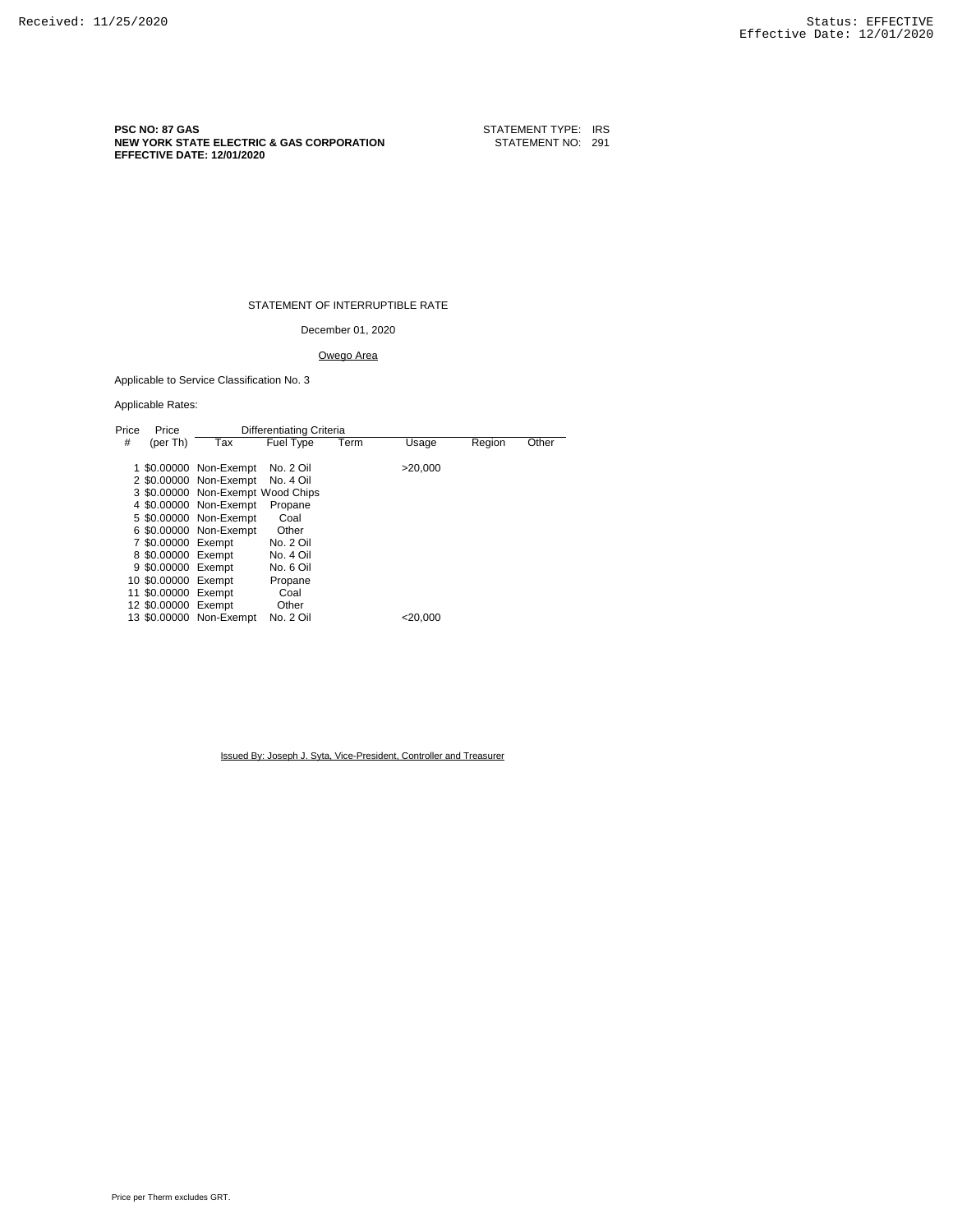**PSC NO: 87 GAS** STATEMENT TYPE: IRS **NEW YORK STATE ELECTRIC & GAS CORPORATION STATEMENT NO: 291 EFFECTIVE DATE: 12/01/2020**

STATEMENT OF INTERRUPTIBLE RATE

December 01, 2020

## Owego Area

Applicable to Service Classification No. 3

#### Applicable Rates:

| Price | Price               | Differentiating Criteria          |                  |      |            |        |       |
|-------|---------------------|-----------------------------------|------------------|------|------------|--------|-------|
| #     | (per Th)            | Tax                               | <b>Fuel Type</b> | Term | Usage      | Region | Other |
|       |                     |                                   |                  |      |            |        |       |
|       |                     | 1 \$0.00000 Non-Exempt            | No. 2 Oil        |      | >20.000    |        |       |
|       |                     | 2 \$0,00000 Non-Exempt            | No. 4 Oil        |      |            |        |       |
|       |                     | 3 \$0.00000 Non-Exempt Wood Chips |                  |      |            |        |       |
|       |                     | 4 \$0,00000 Non-Exempt            | Propane          |      |            |        |       |
|       |                     | 5 \$0,00000 Non-Exempt            | Coal             |      |            |        |       |
|       |                     | 6 \$0.00000 Non-Exempt            | Other            |      |            |        |       |
|       | 7 \$0,00000 Exempt  |                                   | No. 2 Oil        |      |            |        |       |
|       | 8 \$0.00000 Exempt  |                                   | No. 4 Oil        |      |            |        |       |
|       | 9 \$0.00000 Exempt  |                                   | No. 6 Oil        |      |            |        |       |
|       | 10 \$0.00000 Exempt |                                   | Propane          |      |            |        |       |
|       | 11 \$0.00000 Exempt |                                   | Coal             |      |            |        |       |
|       | 12 \$0.00000 Exempt |                                   | Other            |      |            |        |       |
|       |                     | 13 \$0,00000 Non-Exempt           | No. 2 Oil        |      | $<$ 20.000 |        |       |
|       |                     |                                   |                  |      |            |        |       |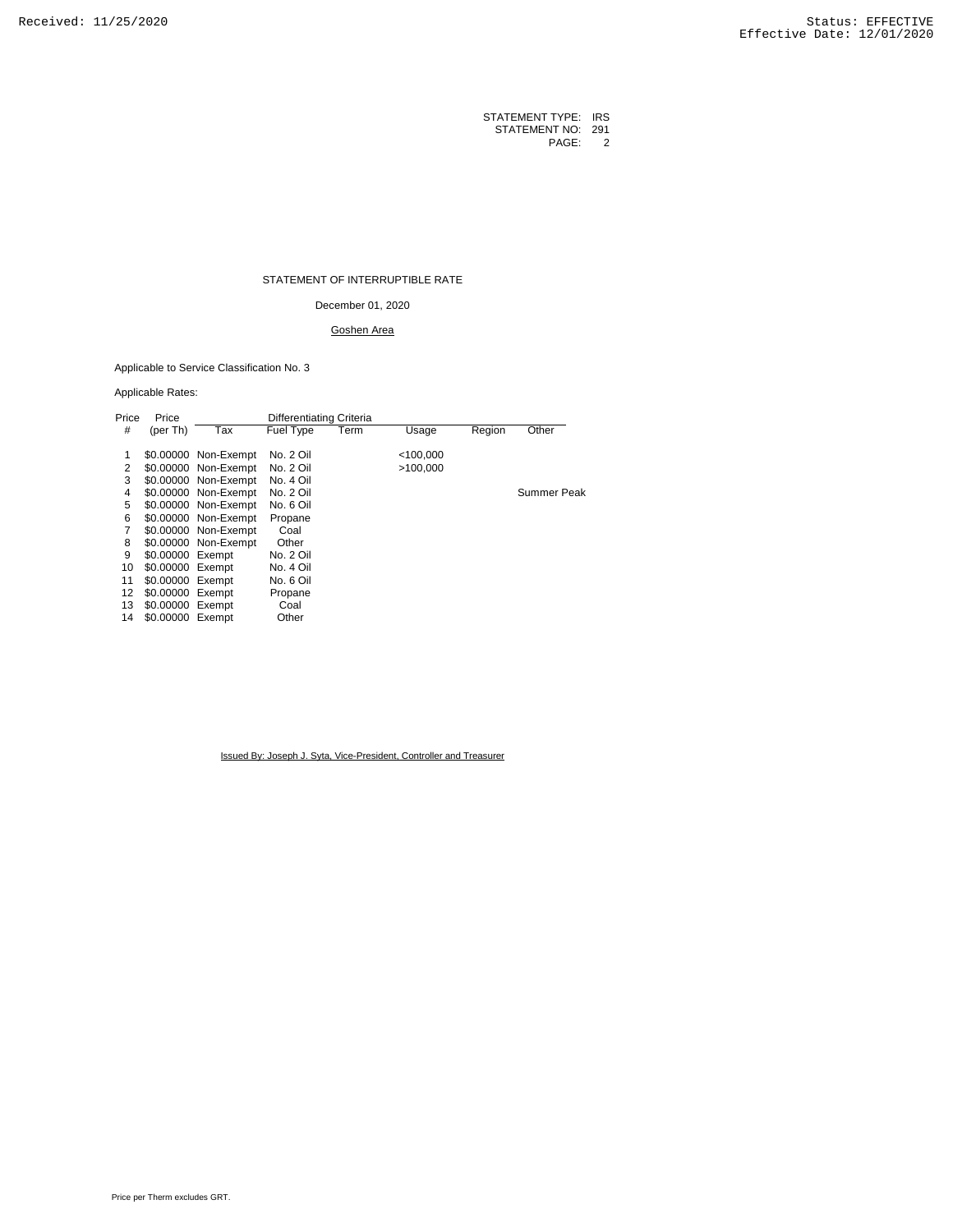### STATEMENT OF INTERRUPTIBLE RATE

December 01, 2020

# Goshen Area

Applicable to Service Classification No. 3

## Applicable Rates:

| Price | Price            |                      | Differentiating Criteria |      |             |        |             |
|-------|------------------|----------------------|--------------------------|------|-------------|--------|-------------|
| #     | (per Th)         | Tax                  | Fuel Type                | Term | Usage       | Region | Other       |
|       |                  |                      |                          |      |             |        |             |
| 1     |                  | \$0.00000 Non-Exempt | No. 2 Oil                |      | $<$ 100,000 |        |             |
| 2     |                  | \$0.00000 Non-Exempt | No. 2 Oil                |      | >100.000    |        |             |
| 3     |                  | \$0.00000 Non-Exempt | No. 4 Oil                |      |             |        |             |
| 4     |                  | \$0.00000 Non-Exempt | No. 2 Oil                |      |             |        | Summer Peak |
| 5     |                  | \$0.00000 Non-Exempt | No. 6 Oil                |      |             |        |             |
| 6     |                  | \$0.00000 Non-Exempt | Propane                  |      |             |        |             |
|       |                  | \$0.00000 Non-Exempt | Coal                     |      |             |        |             |
| 8     |                  | \$0.00000 Non-Exempt | Other                    |      |             |        |             |
| 9     | \$0.00000 Exempt |                      | No. 2 Oil                |      |             |        |             |
| 10    | \$0.00000 Exempt |                      | No. 4 Oil                |      |             |        |             |
| 11    | \$0.00000 Exempt |                      | No. 6 Oil                |      |             |        |             |
| 12    | \$0.00000 Exempt |                      | Propane                  |      |             |        |             |
| 13    | \$0.00000 Exempt |                      | Coal                     |      |             |        |             |
| 14    | \$0.00000 Exempt |                      | Other                    |      |             |        |             |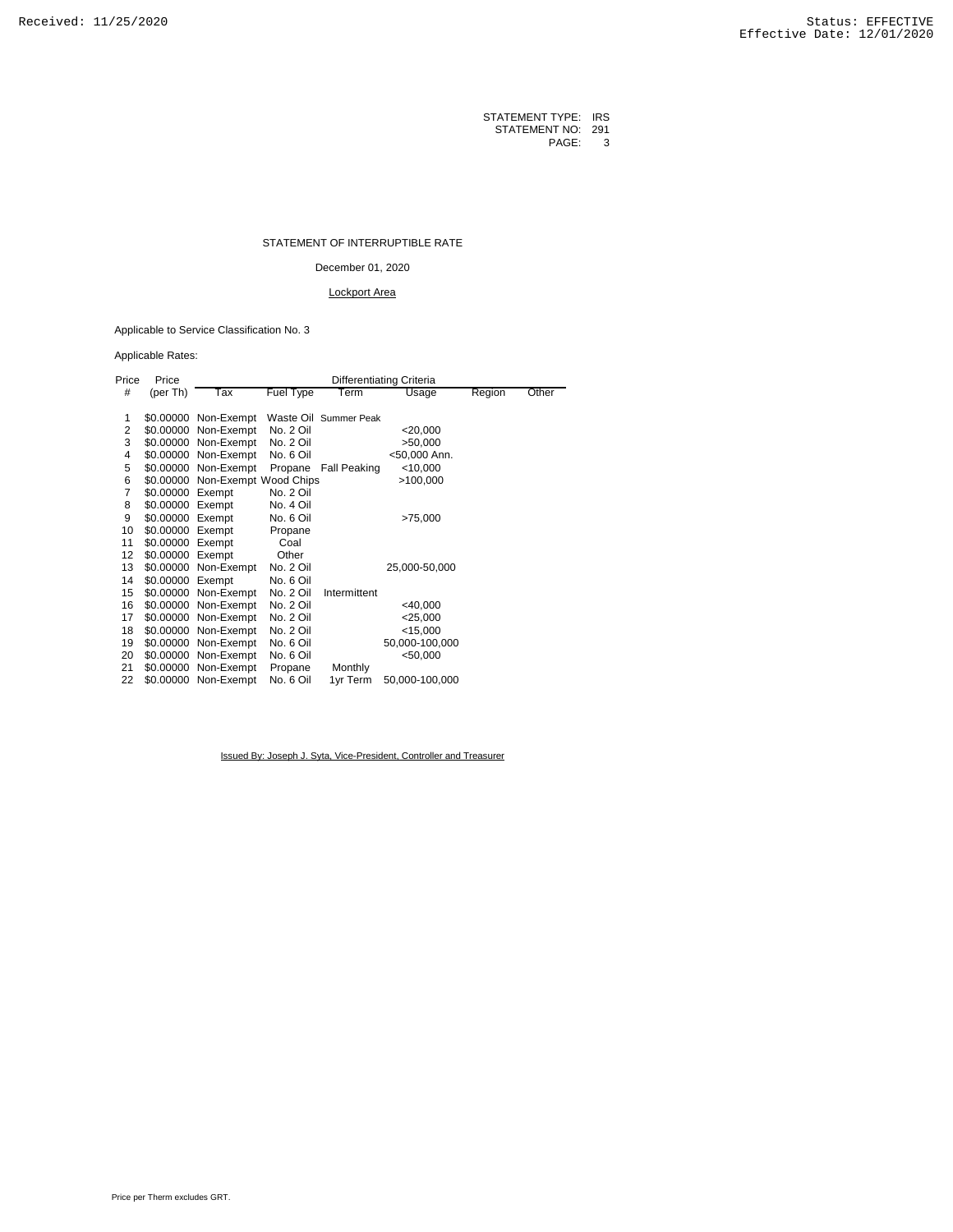#### STATEMENT OF INTERRUPTIBLE RATE

December 01, 2020

## Lockport Area

Applicable to Service Classification No. 3

Applicable Rates:

| Price          | Price            | Differentiating Criteria        |           |                       |                |        |       |  |
|----------------|------------------|---------------------------------|-----------|-----------------------|----------------|--------|-------|--|
| #              | (per Th)         | Tax                             | Fuel Type | Term                  | Usage          | Region | Other |  |
|                |                  |                                 |           |                       |                |        |       |  |
| 1              |                  | \$0.00000 Non-Exempt            |           | Waste Oil Summer Peak |                |        |       |  |
| $\overline{2}$ |                  | \$0.00000 Non-Exempt            | No. 2 Oil |                       | $<$ 20,000     |        |       |  |
| 3              |                  | \$0.00000 Non-Exempt            | No. 2 Oil |                       | >50,000        |        |       |  |
| 4              |                  | \$0.00000 Non-Exempt            | No. 6 Oil |                       | <50,000 Ann.   |        |       |  |
| 5              |                  | \$0.00000 Non-Exempt            | Propane   | Fall Peaking          | $<$ 10,000     |        |       |  |
| 6              |                  | \$0.00000 Non-Exempt Wood Chips |           |                       | >100,000       |        |       |  |
| 7              | \$0.00000 Exempt |                                 | No. 2 Oil |                       |                |        |       |  |
| 8              | \$0.00000 Exempt |                                 | No. 4 Oil |                       |                |        |       |  |
| 9              | \$0.00000 Exempt |                                 | No. 6 Oil |                       | >75,000        |        |       |  |
| 10             | \$0.00000 Exempt |                                 | Propane   |                       |                |        |       |  |
| 11             | \$0.00000 Exempt |                                 | Coal      |                       |                |        |       |  |
| 12             | \$0.00000 Exempt |                                 | Other     |                       |                |        |       |  |
| 13             |                  | \$0.00000 Non-Exempt            | No. 2 Oil |                       | 25,000-50,000  |        |       |  |
| 14             | \$0.00000 Exempt |                                 | No. 6 Oil |                       |                |        |       |  |
| 15             |                  | \$0.00000 Non-Exempt            | No. 2 Oil | Intermittent          |                |        |       |  |
| 16             |                  | \$0.00000 Non-Exempt            | No. 2 Oil |                       | <40,000        |        |       |  |
| 17             |                  | \$0.00000 Non-Exempt            | No. 2 Oil |                       | $<$ 25,000     |        |       |  |
| 18             |                  | \$0.00000 Non-Exempt            | No. 2 Oil |                       | $<$ 15,000     |        |       |  |
| 19             |                  | \$0.00000 Non-Exempt            | No. 6 Oil |                       | 50,000-100,000 |        |       |  |
| 20             |                  | \$0.00000 Non-Exempt            | No. 6 Oil |                       | < 50,000       |        |       |  |
| 21             |                  | \$0.00000 Non-Exempt            | Propane   | Monthly               |                |        |       |  |
| 22             |                  | \$0.00000 Non-Exempt            | No. 6 Oil | 1yr Term              | 50,000-100,000 |        |       |  |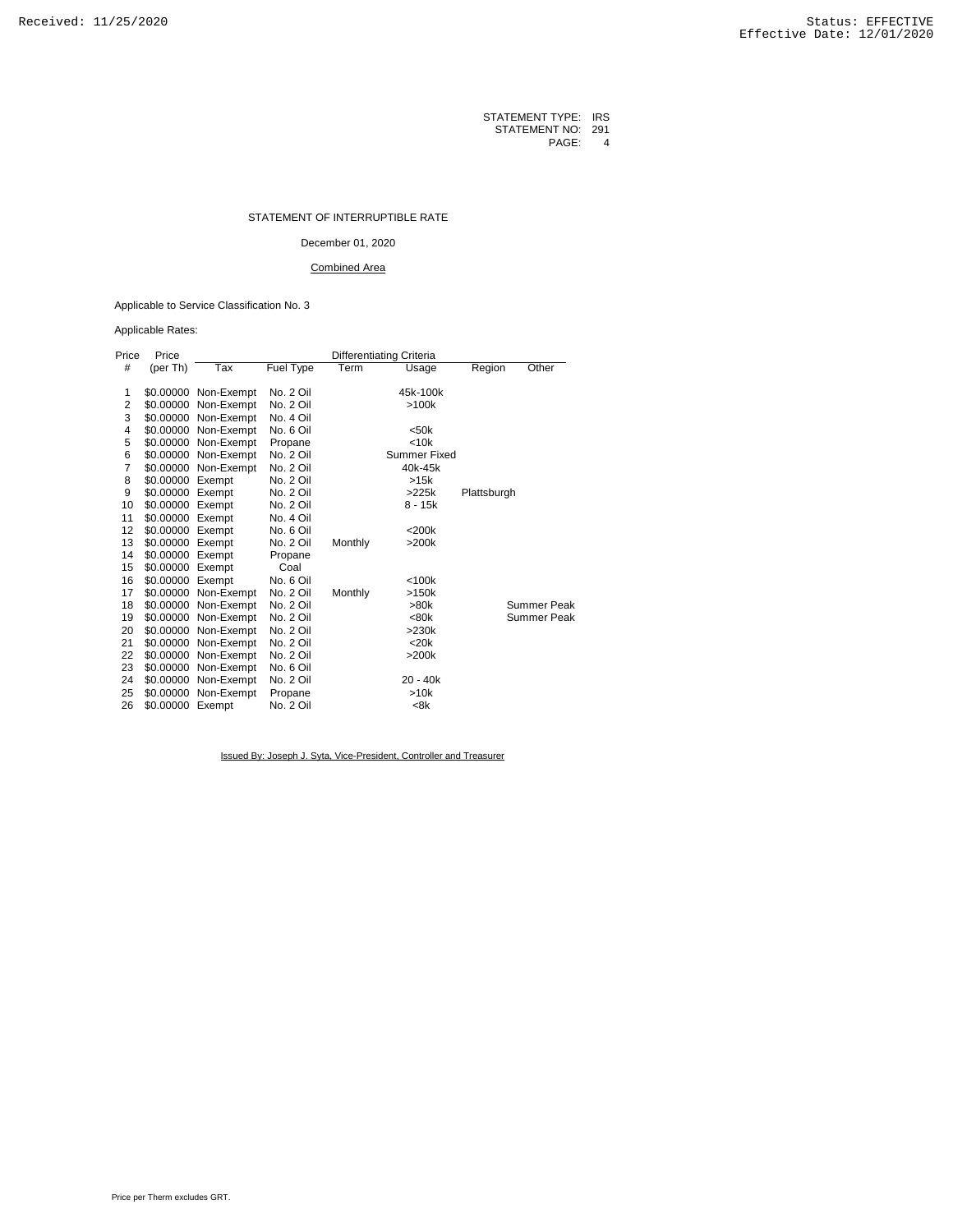| STATEMENT TYPE:   | <b>IRS</b> |
|-------------------|------------|
| STATEMENT NO: 291 |            |
| PAGE:             | 4          |

#### STATEMENT OF INTERRUPTIBLE RATE

## December 01, 2020

### Combined Area

## Applicable to Service Classification No. 3

Applicable Rates:

| Price          | Price     | Differentiating Criteria |                  |         |              |                 |  |
|----------------|-----------|--------------------------|------------------|---------|--------------|-----------------|--|
| #              | (per Th)  | Tax                      | <b>Fuel Type</b> | Term    | <b>Usage</b> | Region<br>Other |  |
|                |           |                          |                  |         |              |                 |  |
| 1              | \$0.00000 | Non-Exempt               | No. 2 Oil        |         | 45k-100k     |                 |  |
| $\overline{2}$ | \$0.00000 | Non-Exempt               | No. 2 Oil        |         | >100k        |                 |  |
| 3              | \$0.00000 | Non-Exempt               | No. 4 Oil        |         |              |                 |  |
| 4              | \$0.00000 | Non-Exempt               | No. 6 Oil        |         | $50k$        |                 |  |
| 5              | \$0.00000 | Non-Exempt               | Propane          |         | < 10k        |                 |  |
| 6              | \$0.00000 | Non-Exempt               | No. 2 Oil        |         | Summer Fixed |                 |  |
| $\overline{7}$ | \$0.00000 | Non-Exempt               | No. 2 Oil        |         | 40k-45k      |                 |  |
| 8              | \$0.00000 | Exempt                   | No. 2 Oil        |         | >15k         |                 |  |
| 9              | \$0.00000 | Exempt                   | No. 2 Oil        |         | >225k        | Plattsburgh     |  |
| 10             | \$0.00000 | Exempt                   | No. 2 Oil        |         | $8 - 15k$    |                 |  |
| 11             | \$0.00000 | Exempt                   | No. 4 Oil        |         |              |                 |  |
| 12             | \$0.00000 | Exempt                   | No. 6 Oil        |         | $<$ 200 $k$  |                 |  |
| 13             | \$0.00000 | Exempt                   | No. 2 Oil        | Monthly | >200k        |                 |  |
| 14             | \$0.00000 | Exempt                   | Propane          |         |              |                 |  |
| 15             | \$0.00000 | Exempt                   | Coal             |         |              |                 |  |
| 16             | \$0.00000 | Exempt                   | No. 6 Oil        |         | $<$ 100 $k$  |                 |  |
| 17             | \$0.00000 | Non-Exempt               | No. 2 Oil        | Monthly | >150k        |                 |  |
| 18             | \$0.00000 | Non-Exempt               | No. 2 Oil        |         | >80k         | Summer Peak     |  |
| 19             | \$0.00000 | Non-Exempt               | No. 2 Oil        |         | <80k         | Summer Peak     |  |
| 20             | \$0.00000 | Non-Exempt               | No. 2 Oil        |         | >230k        |                 |  |
| 21             | \$0.00000 | Non-Exempt               | No. 2 Oil        |         | $<$ 20 $k$   |                 |  |
| 22             | \$0.00000 | Non-Exempt               | No. 2 Oil        |         | >200k        |                 |  |
| 23             | \$0.00000 | Non-Exempt               | No. 6 Oil        |         |              |                 |  |
| 24             | \$0.00000 | Non-Exempt               | No. 2 Oil        |         | $20 - 40k$   |                 |  |
| 25             | \$0.00000 | Non-Exempt               | Propane          |         | >10k         |                 |  |
| 26             | \$0.00000 | Exempt                   | No. 2 Oil        |         | <8k          |                 |  |
|                |           |                          |                  |         |              |                 |  |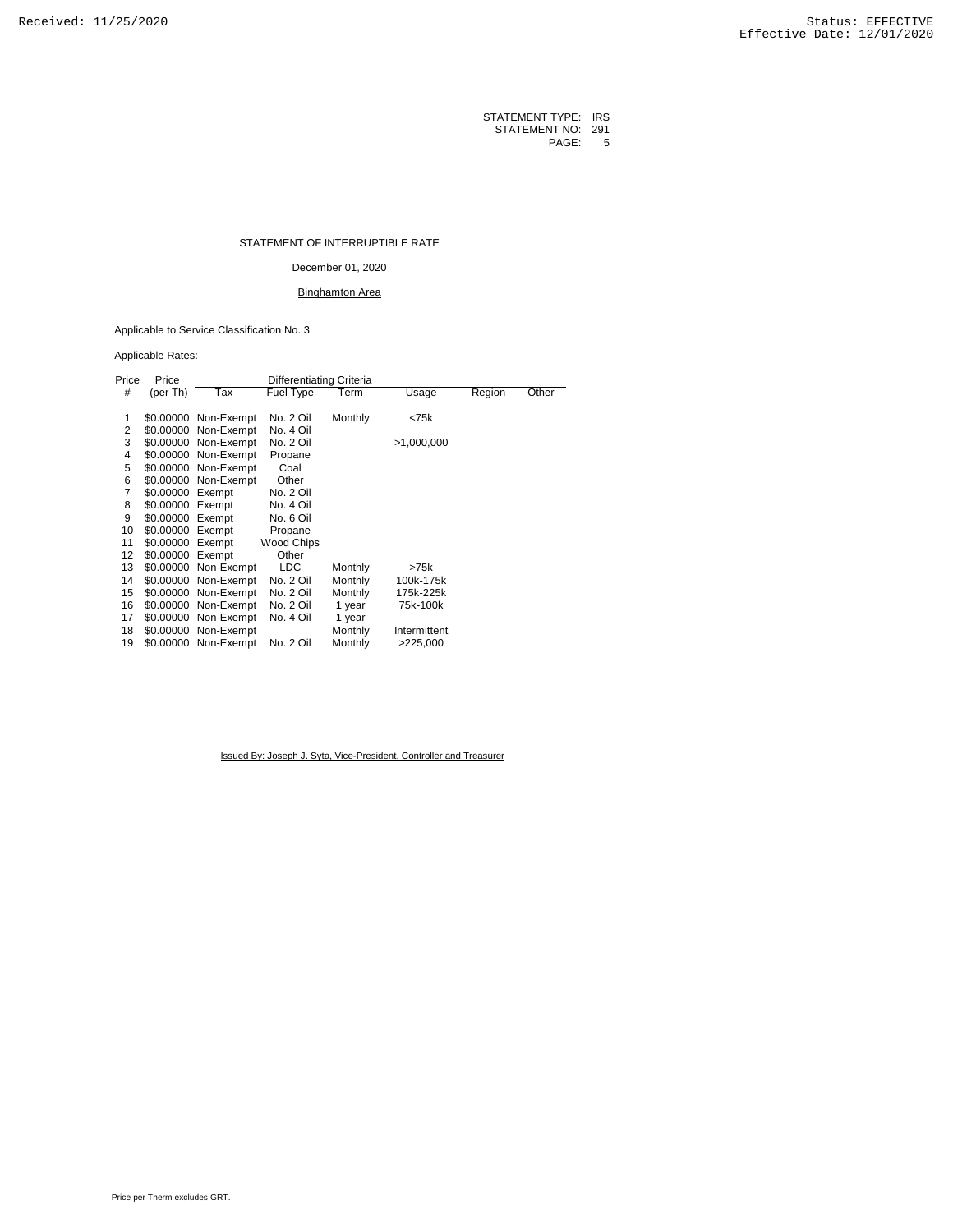#### STATEMENT OF INTERRUPTIBLE RATE

December 01, 2020

## Binghamton Area

Applicable to Service Classification No. 3

## Applicable Rates:

| Price | Price            | Differentiating Criteria |                   |         |              |        |       |
|-------|------------------|--------------------------|-------------------|---------|--------------|--------|-------|
| #     | (per Th)         | Tax                      | Fuel Type         | Term    | Usage        | Region | Other |
|       |                  |                          |                   |         |              |        |       |
| 1     |                  | \$0.00000 Non-Exempt     | No. 2 Oil         | Monthly | < 75k        |        |       |
| 2     |                  | \$0.00000 Non-Exempt     | No. 4 Oil         |         |              |        |       |
| 3     |                  | \$0.00000 Non-Exempt     | No. 2 Oil         |         | >1,000,000   |        |       |
| 4     |                  | \$0.00000 Non-Exempt     | Propane           |         |              |        |       |
| 5     |                  | \$0.00000 Non-Exempt     | Coal              |         |              |        |       |
| 6     |                  | \$0.00000 Non-Exempt     | Other             |         |              |        |       |
| 7     | \$0.00000 Exempt |                          | No. 2 Oil         |         |              |        |       |
| 8     | \$0.00000 Exempt |                          | No. 4 Oil         |         |              |        |       |
| 9     | \$0.00000 Exempt |                          | No. 6 Oil         |         |              |        |       |
| 10    | \$0.00000 Exempt |                          | Propane           |         |              |        |       |
| 11    | \$0.00000 Exempt |                          | <b>Wood Chips</b> |         |              |        |       |
| 12    | \$0.00000 Exempt |                          | Other             |         |              |        |       |
| 13    |                  | \$0.00000 Non-Exempt     | <b>LDC</b>        | Monthly | >75k         |        |       |
| 14    |                  | \$0.00000 Non-Exempt     | No. 2 Oil         | Monthly | 100k-175k    |        |       |
| 15    |                  | \$0.00000 Non-Exempt     | No. 2 Oil         | Monthly | 175k-225k    |        |       |
| 16    | \$0.00000        | Non-Exempt               | No. 2 Oil         | 1 year  | 75k-100k     |        |       |
| 17    |                  | \$0.00000 Non-Exempt     | No. 4 Oil         | 1 year  |              |        |       |
| 18    |                  | \$0.00000 Non-Exempt     |                   | Monthly | Intermittent |        |       |
| 19    |                  | \$0.00000 Non-Exempt     | No. 2 Oil         | Monthly | >225,000     |        |       |
|       |                  |                          |                   |         |              |        |       |